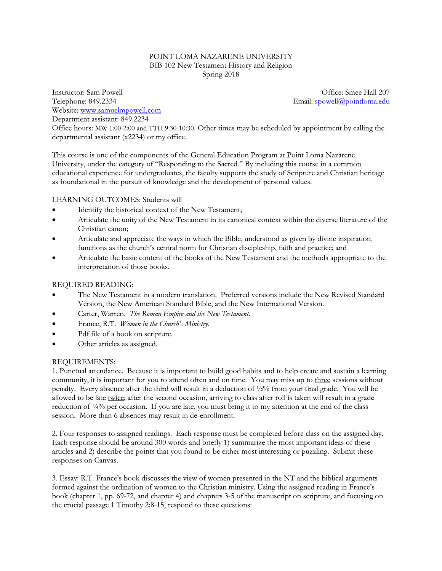### POINT LOMA NAZARENE UNIVERSITY BIB 102 New Testament History and Religion Spring 2018

**Instructor:** Sam Powell Telephone: 849.2334 Website: www.samuelmpowell.com Department assistant: 849.2234

Office: Smee Hall 207 Email: spowell@pointloma.edu

Office hours: MW 1:00-2:00 and TTH 9:30-10:30. Other times may be scheduled by appointment by calling the departmental assistant (x2234) or my office.

This course is one of the components of the General Education Program at Point Loma Nazarene University, under the category of "Responding to the Sacred." By including this course in a common educational experience for undergraduates, the faculty supports the study of Scripture and Christian heritage as foundational in the pursuit of knowledge and the development of personal values.

# LEARNING OUTCOMES: Students will

- Identify the historical context of the New Testament;  $\bullet$
- Articulate the unity of the New Testament in its canonical context within the diverse literature of the  $\bullet$ Christian canon:
- Articulate and appreciate the ways in which the Bible, understood as given by divine inspiration, functions as the church's central norm for Christian discipleship, faith and practice; and
- Articulate the basic content of the books of the New Testament and the methods appropriate to the interpretation of those books.

### **REQUIRED READING:**

- The New Testament in a modern translation. Preferred versions include the New Revised Standard Version, the New American Standard Bible, and the New International Version.
- Carter, Warren. The Roman Empire and the New Testament.
- France, R.T. Women in the Church's Ministry.  $\bullet$
- Pdf file of a book on scripture.  $\bullet$
- Other articles as assigned.  $\bullet$

#### **REOUIREMENTS:**

1. Punctual attendance. Because it is important to build good habits and to help create and sustain a learning community, it is important for you to attend often and on time. You may miss up to three sessions without penalty. Every absence after the third will result in a deduction of 1/2% from your final grade. You will be allowed to be late twice; after the second occasion, arriving to class after roll is taken will result in a grade reduction of 1/4% per occasion. If you are late, you must bring it to my attention at the end of the class session. More than 6 absences may result in de-enrollment.

2. Four responses to assigned readings. Each response must be completed before class on the assigned day. Each response should be around 300 words and briefly 1) summarize the most important ideas of these articles and 2) describe the points that you found to be either most interesting or puzzling. Submit these responses on Canvas.

3. Essay: R.T. France's book discusses the view of women presented in the NT and the biblical arguments formed against the ordination of women to the Christian ministry. Using the assigned reading in France's book (chapter 1, pp. 69-72, and chapter 4) and chapters 3-5 of the manuscript on scripture, and focusing on the crucial passage 1 Timothy 2:8-15, respond to these questions: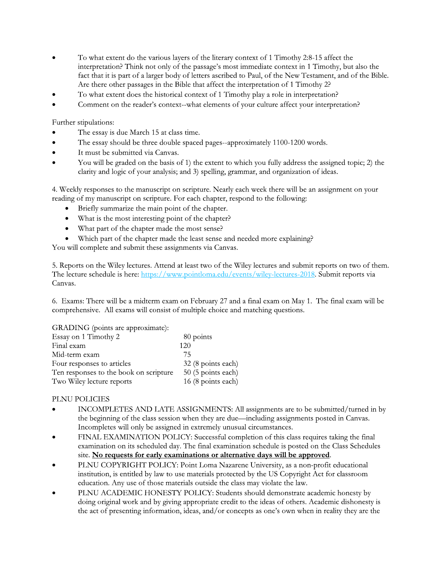- To what extent do the various layers of the literary context of 1 Timothy 2:8-15 affect the interpretation? Think not only of the passage's most immediate context in 1 Timothy, but also the fact that it is part of a larger body of letters ascribed to Paul, of the New Testament, and of the Bible. Are there other passages in the Bible that affect the interpretation of 1 Timothy 2?
- To what extent does the historical context of 1 Timothy play a role in interpretation?
- Comment on the reader's context--what elements of your culture affect your interpretation?

Further stipulations:

- The essay is due March 15 at class time.
- The essay should be three double spaced pages--approximately 1100-1200 words.  $\bullet$
- It must be submitted via Canvas.
- You will be graded on the basis of 1) the extent to which you fully address the assigned topic; 2) the clarity and logic of your analysis; and 3) spelling, grammar, and organization of ideas.

4. Weekly responses to the manuscript on scripture. Nearly each week there will be an assignment on your reading of my manuscript on scripture. For each chapter, respond to the following:

- Briefly summarize the main point of the chapter.
- What is the most interesting point of the chapter?  $\bullet$
- What part of the chapter made the most sense?
- Which part of the chapter made the least sense and needed more explaining?

You will complete and submit these assignments via Canvas.

5. Reports on the Wiley lectures. Attend at least two of the Wiley lectures and submit reports on two of them. The lecture schedule is here: https://www.pointloma.edu/events/wiley-lectures-2018. Submit reports via Canvas.

6. Exams: There will be a midterm exam on February 27 and a final exam on May 1. The final exam will be comprehensive. All exams will consist of multiple choice and matching questions.

GRADING (points are approximate):

| Essay on 1 Timothy 2                   | 80 points          |
|----------------------------------------|--------------------|
| Final exam                             | 120                |
| Mid-term exam                          | 75                 |
| Four responses to articles             | 32 (8 points each) |
| Ten responses to the book on scripture | 50 (5 points each) |
| Two Wiley lecture reports              | 16 (8 points each) |

# PLNU POLICIES

- INCOMPLETES AND LATE ASSIGNMENTS: All assignments are to be submitted/turned in by the beginning of the class session when they are due—including assignments posted in Canvas. Incompletes will only be assigned in extremely unusual circumstances.
- FINAL EXAMINATION POLICY: Successful completion of this class requires taking the final examination on its scheduled day. The final examination schedule is posted on the Class Schedules site. No requests for early examinations or alternative days will be approved.
- PLNU COPYRIGHT POLICY: Point Loma Nazarene University, as a non-profit educational institution, is entitled by law to use materials protected by the US Copyright Act for classroom education. Any use of those materials outside the class may violate the law.
- PLNU ACADEMIC HONESTY POLICY: Students should demonstrate academic honesty by doing original work and by giving appropriate credit to the ideas of others. Academic dishonesty is the act of presenting information, ideas, and/or concepts as one's own when in reality they are the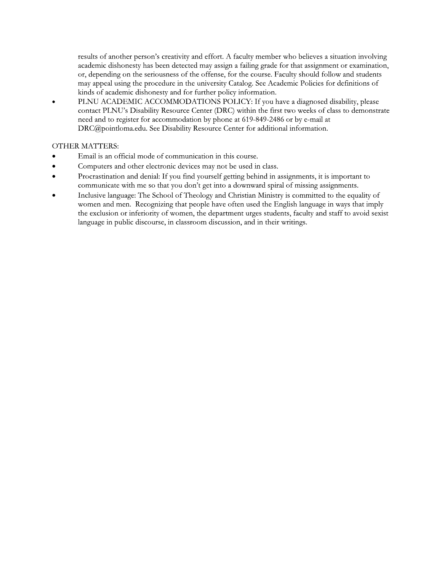results of another person's creativity and effort. A faculty member who believes a situation involving academic dishonesty has been detected may assign a failing grade for that assignment or examination, or, depending on the seriousness of the offense, for the course. Faculty should follow and students may appeal using the procedure in the university Catalog. See Academic Policies for definitions of kinds of academic dishonesty and for further policy information.

PLNU ACADEMIC ACCOMMODATIONS POLICY: If you have a diagnosed disability, please contact PLNU's Disability Resource Center (DRC) within the first two weeks of class to demonstrate need and to register for accommodation by phone at 619-849-2486 or by e-mail at DRC@pointloma.edu. See Disability Resource Center for additional information.

# **OTHER MATTERS:**

- Email is an official mode of communication in this course.
- Computers and other electronic devices may not be used in class.
- Procrastination and denial: If you find yourself getting behind in assignments, it is important to communicate with me so that you don't get into a downward spiral of missing assignments.
- Inclusive language: The School of Theology and Christian Ministry is committed to the equality of women and men. Recognizing that people have often used the English language in ways that imply the exclusion or inferiority of women, the department urges students, faculty and staff to avoid sexist language in public discourse, in classroom discussion, and in their writings.